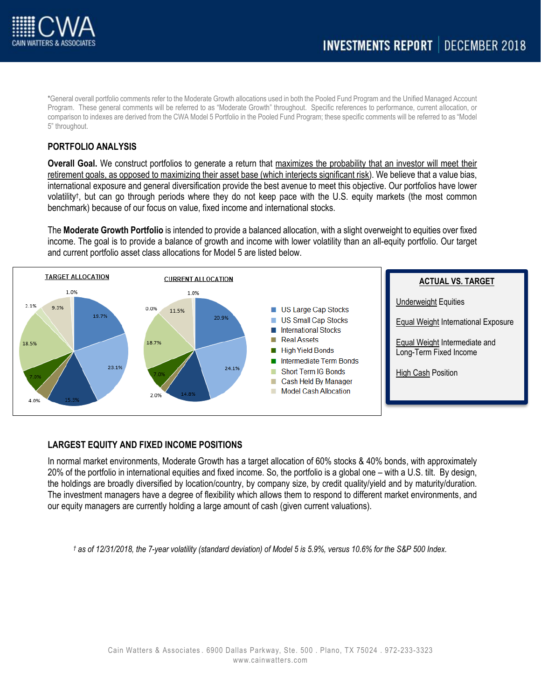

\*General overall portfolio comments refer to the Moderate Growth allocations used in both the Pooled Fund Program and the Unified Managed Account Program. These general comments will be referred to as "Moderate Growth" throughout. Specific references to performance, current allocation, or comparison to indexes are derived from the CWA Model 5 Portfolio in the Pooled Fund Program; these specific comments will be referred to as "Model 5" throughout.

## **PORTFOLIO ANALYSIS**

**Overall Goal.** We construct portfolios to generate a return that maximizes the probability that an investor will meet their retirement goals, as opposed to maximizing their asset base (which interjects significant risk). We believe that a value bias, international exposure and general diversification provide the best avenue to meet this objective. Our portfolios have lower volatility† , but can go through periods where they do not keep pace with the U.S. equity markets (the most common benchmark) because of our focus on value, fixed income and international stocks.

The **Moderate Growth Portfolio** is intended to provide a balanced allocation, with a slight overweight to equities over fixed income. The goal is to provide a balance of growth and income with lower volatility than an all-equity portfolio. Our target and current portfolio asset class allocations for Model 5 are listed below.



## **LARGEST EQUITY AND FIXED INCOME POSITIONS**

In normal market environments, Moderate Growth has a target allocation of 60% stocks & 40% bonds, with approximately 20% of the portfolio in international equities and fixed income. So, the portfolio is a global one – with a U.S. tilt. By design, the holdings are broadly diversified by location/country, by company size, by credit quality/yield and by maturity/duration. The investment managers have a degree of flexibility which allows them to respond to different market environments, and our equity managers are currently holding a large amount of cash (given current valuations).

*† as of 12/31/2018, the 7-year volatility (standard deviation) of Model 5 is 5.9%, versus 10.6% for the S&P 500 Index.*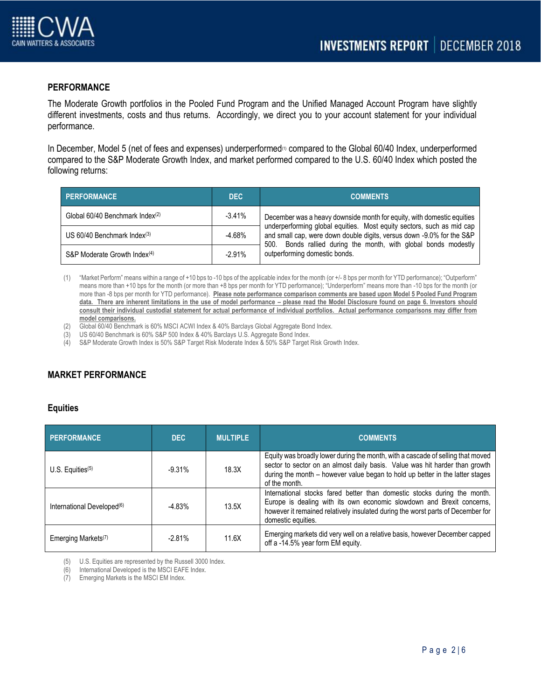

## **PERFORMANCE**

The Moderate Growth portfolios in the Pooled Fund Program and the Unified Managed Account Program have slightly different investments, costs and thus returns. Accordingly, we direct you to your account statement for your individual performance.

In December, Model 5 (net of fees and expenses) underperformed<sup>(6)</sup> compared to the Global 60/40 Index, underperformed compared to the S&P Moderate Growth Index, and market performed compared to the U.S. 60/40 Index which posted the following returns:

| <b>PERFORMANCE</b>                          | DEC.     | <b>COMMENTS</b>                                                                                                                                                                                                   |
|---------------------------------------------|----------|-------------------------------------------------------------------------------------------------------------------------------------------------------------------------------------------------------------------|
| Global 60/40 Benchmark Index <sup>(2)</sup> | $-3.41%$ | December was a heavy downside month for equity, with domestic equities                                                                                                                                            |
| US $60/40$ Benchmark Index <sup>(3)</sup>   | -4.68%   | underperforming global equities. Most equity sectors, such as mid cap<br>and small cap, were down double digits, versus down -9.0% for the S&P<br>500. Bonds rallied during the month, with global bonds modestly |
| S&P Moderate Growth Index <sup>(4)</sup>    | $-2.91%$ | outperforming domestic bonds.                                                                                                                                                                                     |

- (1) "Market Perform" means within a range of +10 bps to -10 bps of the applicable index for the month (or +/- 8 bps per month for YTD performance); "Outperform" means more than +10 bps for the month (or more than +8 bps per month for YTD performance); "Underperform" means more than -10 bps for the month (or more than -8 bps per month for YTD performance). **Please note performance comparison comments are based upon Model 5 Pooled Fund Program**  data. There are inherent limitations in the use of model performance – please read the Model Disclosure found on page 6. Investors should **consult their individual custodial statement for actual performance of individual portfolios. Actual performance comparisons may differ from model comparisons.**
- (2) Global 60/40 Benchmark is 60% MSCI ACWI Index & 40% Barclays Global Aggregate Bond Index.
- (3) US 60/40 Benchmark is 60% S&P 500 Index & 40% Barclays U.S. Aggregate Bond Index.
- (4) S&P Moderate Growth Index is 50% S&P Target Risk Moderate Index & 50% S&P Target Risk Growth Index.

# **MARKET PERFORMANCE**

#### **Equities**

| <b>PERFORMANCE</b>                     | DEC               | <b>MULTIPLE</b> | <b>COMMENTS</b>                                                                                                                                                                                                                                                  |  |  |  |
|----------------------------------------|-------------------|-----------------|------------------------------------------------------------------------------------------------------------------------------------------------------------------------------------------------------------------------------------------------------------------|--|--|--|
| $U.S.$ Equities <sup>(5)</sup>         | $-9.31%$          | 18.3X           | Equity was broadly lower during the month, with a cascade of selling that moved<br>sector to sector on an almost daily basis. Value was hit harder than growth<br>during the month – however value began to hold up better in the latter stages<br>of the month. |  |  |  |
| International Developed <sup>(6)</sup> | 13.5X<br>$-4.83%$ |                 | International stocks fared better than domestic stocks during the month.<br>Europe is dealing with its own economic slowdown and Brexit concerns,<br>however it remained relatively insulated during the worst parts of December for<br>domestic equities.       |  |  |  |
| Emerging Markets <sup>(7)</sup>        | $-2.81%$          | 11.6X           | Emerging markets did very well on a relative basis, however December capped<br>off a -14.5% year form EM equity.                                                                                                                                                 |  |  |  |

(5) U.S. Equities are represented by the Russell 3000 Index.

(6) International Developed is the MSCI EAFE Index.

(7) Emerging Markets is the MSCI EM Index.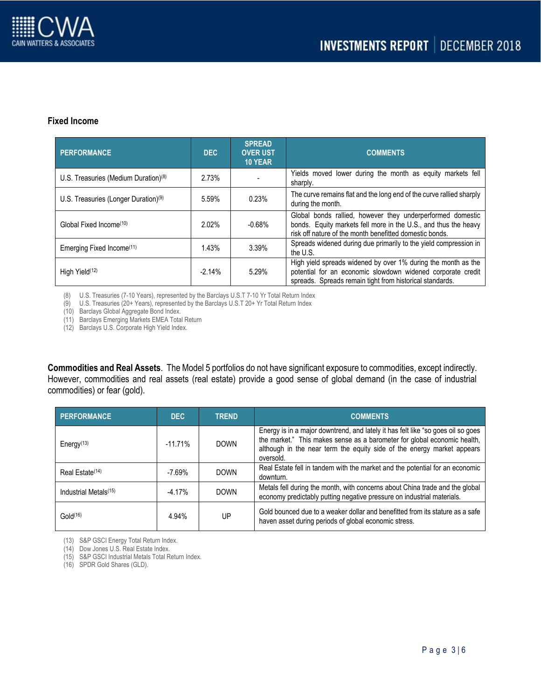

#### **Fixed Income**

| <b>PERFORMANCE</b>                                        | <b>DEC</b> | <b>SPREAD</b><br><b>OVER UST</b><br><b>10 YEAR</b> | <b>COMMENTS</b>                                                                                                                                                                          |  |  |  |
|-----------------------------------------------------------|------------|----------------------------------------------------|------------------------------------------------------------------------------------------------------------------------------------------------------------------------------------------|--|--|--|
| 2.73%<br>U.S. Treasuries (Medium Duration) <sup>(8)</sup> |            |                                                    | Yields moved lower during the month as equity markets fell<br>sharply.                                                                                                                   |  |  |  |
| U.S. Treasuries (Longer Duration) <sup>(9)</sup>          | 5.59%      | 0.23%                                              | The curve remains flat and the long end of the curve rallied sharply<br>during the month.                                                                                                |  |  |  |
| 2.02%<br>Global Fixed Income <sup>(10)</sup>              |            | $-0.68%$                                           | Global bonds rallied, however they underperformed domestic<br>bonds. Equity markets fell more in the U.S., and thus the heavy<br>risk off nature of the month benefitted domestic bonds. |  |  |  |
| Emerging Fixed Income(11)<br>1.43%                        |            | 3.39%                                              | Spreads widened during due primarily to the yield compression in<br>the U.S.                                                                                                             |  |  |  |
| High Yield <sup>(12)</sup>                                | $-2.14%$   | 5.29%                                              | High yield spreads widened by over 1% during the month as the<br>potential for an economic slowdown widened corporate credit<br>spreads. Spreads remain tight from historical standards. |  |  |  |

(8) U.S. Treasuries (7-10 Years), represented by the Barclays U.S.T 7-10 Yr Total Return Index

(9) U.S. Treasuries (20+ Years), represented by the Barclays U.S.T 20+ Yr Total Return Index

(10) Barclays Global Aggregate Bond Index.

(11) Barclays Emerging Markets EMEA Total Return

(12) Barclays U.S. Corporate High Yield Index.

**Commodities and Real Assets**. The Model 5 portfolios do not have significant exposure to commodities, except indirectly. However, commodities and real assets (real estate) provide a good sense of global demand (in the case of industrial commodities) or fear (gold).

| <b>PERFORMANCE</b>                  | DEC.      | <b>TREND</b> | <b>COMMENTS</b>                                                                                                                                                                                                                                     |  |  |  |
|-------------------------------------|-----------|--------------|-----------------------------------------------------------------------------------------------------------------------------------------------------------------------------------------------------------------------------------------------------|--|--|--|
| Energy <sup><math>(13)</math></sup> | $-11.71%$ | <b>DOWN</b>  | Energy is in a major downtrend, and lately it has felt like "so goes oil so goes<br>the market." This makes sense as a barometer for global economic health,<br>although in the near term the equity side of the energy market appears<br>oversold. |  |  |  |
| Real Estate <sup>(14)</sup>         | $-7.69%$  | <b>DOWN</b>  | Real Estate fell in tandem with the market and the potential for an economic<br>downturn.                                                                                                                                                           |  |  |  |
| Industrial Metals <sup>(15)</sup>   | $-4.17%$  | <b>DOWN</b>  | Metals fell during the month, with concerns about China trade and the global<br>economy predictably putting negative pressure on industrial materials.                                                                                              |  |  |  |
| Gold <sup>(16)</sup>                | 4.94%     | UP           | Gold bounced due to a weaker dollar and benefitted from its stature as a safe<br>haven asset during periods of global economic stress.                                                                                                              |  |  |  |

(13) S&P GSCI Energy Total Return Index.

(14) Dow Jones U.S. Real Estate Index.

(15) S&P GSCI Industrial Metals Total Return Index.

(16) SPDR Gold Shares (GLD).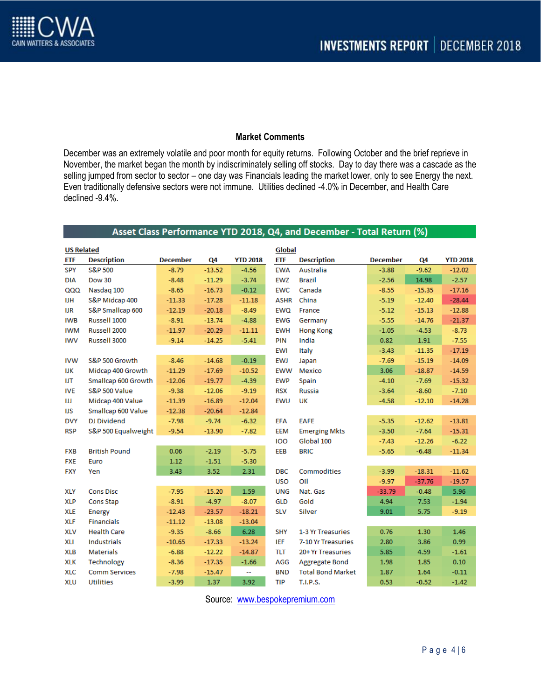

### **Market Comments**

December was an extremely volatile and poor month for equity returns. Following October and the brief reprieve in November, the market began the month by indiscriminately selling off stocks. Day to day there was a cascade as the selling jumped from sector to sector – one day was Financials leading the market lower, only to see Energy the next. Even traditionally defensive sectors were not immune. Utilities declined -4.0% in December, and Health Care declined -9.4%.

| Asset Class Performance YTD 2018, Q4, and December - Total Return (%) |                      |                 |          |                 |             |                          |                 |          |                 |
|-----------------------------------------------------------------------|----------------------|-----------------|----------|-----------------|-------------|--------------------------|-----------------|----------|-----------------|
| Global<br><b>US Related</b>                                           |                      |                 |          |                 |             |                          |                 |          |                 |
| <b>ETF</b>                                                            | <b>Description</b>   | <b>December</b> | Q4       | <b>YTD 2018</b> | <b>ETF</b>  | <b>Description</b>       | <b>December</b> | Q4       | <b>YTD 2018</b> |
| SPY                                                                   | S&P 500              | $-8.79$         | $-13.52$ | $-4.56$         | <b>EWA</b>  | Australia                | $-3.88$         | $-9.62$  | $-12.02$        |
| <b>DIA</b>                                                            | <b>Dow 30</b>        | $-8.48$         | $-11.29$ | $-3.74$         | <b>EWZ</b>  | <b>Brazil</b>            | $-2.56$         | 14.98    | $-2.57$         |
| QQQ                                                                   | Nasdaq 100           | $-8.65$         | $-16.73$ | $-0.12$         | <b>EWC</b>  | Canada                   | $-8.55$         | $-15.35$ | $-17.16$        |
| IJН                                                                   | S&P Midcap 400       | $-11.33$        | $-17.28$ | $-11.18$        | <b>ASHR</b> | China                    | $-5.19$         | $-12.40$ | $-28.44$        |
| IJR                                                                   | S&P Smallcap 600     | $-12.19$        | $-20.18$ | $-8.49$         | <b>EWQ</b>  | France                   | $-5.12$         | $-15.13$ | $-12.88$        |
| <b>IWB</b>                                                            | Russell 1000         | $-8.91$         | $-13.74$ | $-4.88$         | <b>EWG</b>  | Germany                  | $-5.55$         | $-14.76$ | $-21.37$        |
| <b>IWM</b>                                                            | Russell 2000         | $-11.97$        | $-20.29$ | $-11.11$        | <b>EWH</b>  | <b>Hong Kong</b>         | $-1.05$         | $-4.53$  | $-8.73$         |
| <b>IWV</b>                                                            | Russell 3000         | $-9.14$         | $-14.25$ | $-5.41$         | PIN         | India                    | 0.82            | 1.91     | $-7.55$         |
|                                                                       |                      |                 |          |                 | <b>EWI</b>  | Italy                    | $-3.43$         | $-11.35$ | $-17.19$        |
| <b>IVW</b>                                                            | S&P 500 Growth       | $-8.46$         | $-14.68$ | $-0.19$         | <b>EWJ</b>  | Japan                    | $-7.69$         | $-15.19$ | $-14.09$        |
| IJК                                                                   | Midcap 400 Growth    | $-11.29$        | $-17.69$ | $-10.52$        | <b>EWW</b>  | Mexico                   | 3.06            | $-18.87$ | $-14.59$        |
| IJT                                                                   | Smallcap 600 Growth  | $-12.06$        | $-19.77$ | $-4.39$         | <b>EWP</b>  | Spain                    | $-4.10$         | $-7.69$  | $-15.32$        |
| <b>IVE</b>                                                            | S&P 500 Value        | $-9.38$         | $-12.06$ | $-9.19$         | <b>RSX</b>  | <b>Russia</b>            | $-3.64$         | $-8.60$  | $-7.10$         |
| Ш                                                                     | Midcap 400 Value     | $-11.39$        | $-16.89$ | $-12.04$        | <b>EWU</b>  | UK                       | $-4.58$         | $-12.10$ | $-14.28$        |
| IJS                                                                   | Smallcap 600 Value   | $-12.38$        | $-20.64$ | $-12.84$        |             |                          |                 |          |                 |
| <b>DVY</b>                                                            | <b>DJ Dividend</b>   | $-7.98$         | $-9.74$  | $-6.32$         | <b>EFA</b>  | <b>EAFE</b>              | $-5.35$         | $-12.62$ | $-13.81$        |
| <b>RSP</b>                                                            | S&P 500 Equalweight  | $-9.54$         | $-13.90$ | $-7.82$         | <b>EEM</b>  | <b>Emerging Mkts</b>     | $-3.50$         | $-7.64$  | $-15.31$        |
|                                                                       |                      |                 |          |                 | 100         | Global 100               | $-7.43$         | $-12.26$ | $-6.22$         |
| <b>FXB</b>                                                            | <b>British Pound</b> | 0.06            | $-2.19$  | $-5.75$         | EEB         | <b>BRIC</b>              | $-5.65$         | $-6.48$  | $-11.34$        |
| <b>FXE</b>                                                            | Euro                 | 1.12            | $-1.51$  | $-5.30$         |             |                          |                 |          |                 |
| <b>FXY</b>                                                            | Yen                  | 3.43            | 3.52     | 2.31            | <b>DBC</b>  | <b>Commodities</b>       | $-3.99$         | $-18.31$ | $-11.62$        |
|                                                                       |                      |                 |          |                 | <b>USO</b>  | Oil                      | $-9.97$         | $-37.76$ | $-19.57$        |
| <b>XLY</b>                                                            | <b>Cons Disc</b>     | $-7.95$         | $-15.20$ | 1.59            | <b>UNG</b>  | Nat. Gas                 | $-33.79$        | $-0.48$  | 5.96            |
| <b>XLP</b>                                                            | Cons Stap            | $-8.91$         | $-4.97$  | $-8.07$         | <b>GLD</b>  | Gold                     | 4.94            | 7.53     | $-1.94$         |
| <b>XLE</b>                                                            | Energy               | $-12.43$        | $-23.57$ | $-18.21$        | <b>SLV</b>  | Silver                   | 9.01            | 5.75     | $-9.19$         |
| <b>XLF</b>                                                            | <b>Financials</b>    | $-11.12$        | $-13.08$ | $-13.04$        |             |                          |                 |          |                 |
| <b>XLV</b>                                                            | <b>Health Care</b>   | $-9.35$         | $-8.66$  | 6.28            | <b>SHY</b>  | 1-3 Yr Treasuries        | 0.76            | 1.30     | 1.46            |
| XLI                                                                   | <b>Industrials</b>   | $-10.65$        | $-17.33$ | $-13.24$        | <b>IEF</b>  | 7-10 Yr Treasuries       | 2.80            | 3.86     | 0.99            |
| <b>XLB</b>                                                            | <b>Materials</b>     | $-6.88$         | $-12.22$ | $-14.87$        | <b>TLT</b>  | 20+ Yr Treasuries        | 5.85            | 4.59     | $-1.61$         |
| <b>XLK</b>                                                            | Technology           | $-8.36$         | $-17.35$ | $-1.66$         | AGG         | Aggregate Bond           | 1.98            | 1.85     | 0.10            |
| <b>XLC</b>                                                            | <b>Comm Services</b> | $-7.98$         | $-15.47$ | 44              | <b>BND</b>  | <b>Total Bond Market</b> | 1.87            | 1.64     | $-0.11$         |
| <b>XLU</b>                                                            | <b>Utilities</b>     | $-3.99$         | 1.37     | 3.92            | <b>TIP</b>  | <b>T.I.P.S.</b>          | 0.53            | $-0.52$  | $-1.42$         |

Source: [www.bespokepremium.com](http://www.bespokepremium.com/)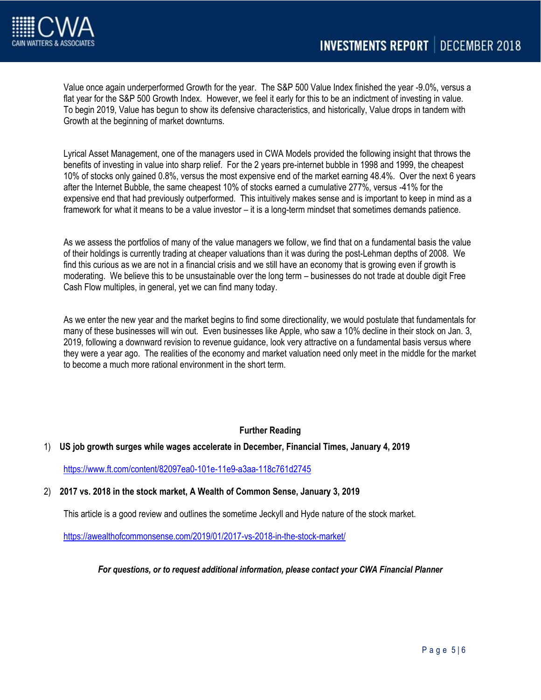

Value once again underperformed Growth for the year. The S&P 500 Value Index finished the year -9.0%, versus a flat year for the S&P 500 Growth Index. However, we feel it early for this to be an indictment of investing in value. To begin 2019, Value has begun to show its defensive characteristics, and historically, Value drops in tandem with Growth at the beginning of market downturns.

Lyrical Asset Management, one of the managers used in CWA Models provided the following insight that throws the benefits of investing in value into sharp relief. For the 2 years pre-internet bubble in 1998 and 1999, the cheapest 10% of stocks only gained 0.8%, versus the most expensive end of the market earning 48.4%. Over the next 6 years after the Internet Bubble, the same cheapest 10% of stocks earned a cumulative 277%, versus -41% for the expensive end that had previously outperformed. This intuitively makes sense and is important to keep in mind as a framework for what it means to be a value investor – it is a long-term mindset that sometimes demands patience.

As we assess the portfolios of many of the value managers we follow, we find that on a fundamental basis the value of their holdings is currently trading at cheaper valuations than it was during the post-Lehman depths of 2008. We find this curious as we are not in a financial crisis and we still have an economy that is growing even if growth is moderating. We believe this to be unsustainable over the long term – businesses do not trade at double digit Free Cash Flow multiples, in general, yet we can find many today.

As we enter the new year and the market begins to find some directionality, we would postulate that fundamentals for many of these businesses will win out. Even businesses like Apple, who saw a 10% decline in their stock on Jan. 3, 2019, following a downward revision to revenue guidance, look very attractive on a fundamental basis versus where they were a year ago. The realities of the economy and market valuation need only meet in the middle for the market to become a much more rational environment in the short term.

# **Further Reading**

## 1) **US job growth surges while wages accelerate in December, Financial Times, January 4, 2019**

<https://www.ft.com/content/82097ea0-101e-11e9-a3aa-118c761d2745>

## 2) **2017 vs. 2018 in the stock market, A Wealth of Common Sense, January 3, 2019**

This article is a good review and outlines the sometime Jeckyll and Hyde nature of the stock market.

<https://awealthofcommonsense.com/2019/01/2017-vs-2018-in-the-stock-market/>

*For questions, or to request additional information, please contact your CWA Financial Planner*